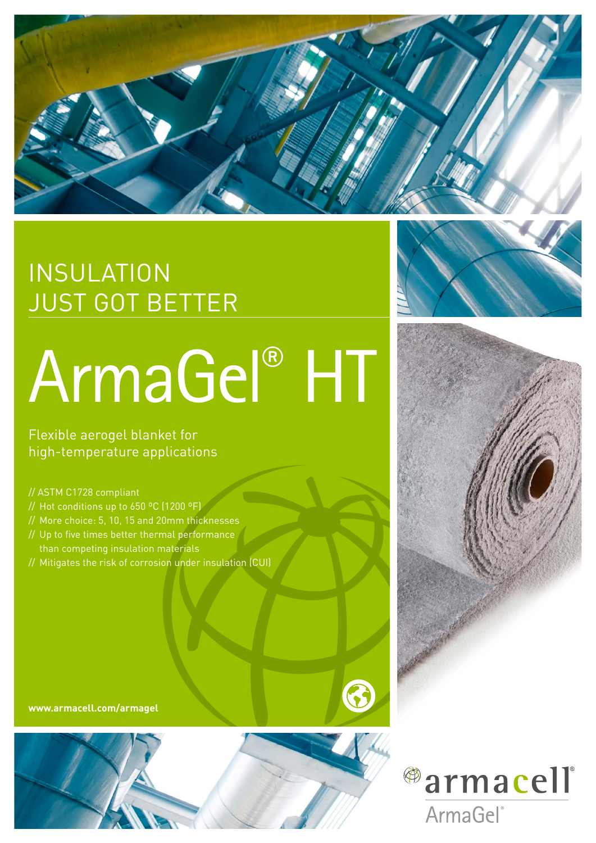

## INSULATION JUST GOT BETTER

# ArmaGel® HT

Flexible aerogel blanket for high-temperature applications

- // ASTM C1728 compliant
- // Hot conditions up to 650 ºC (1200 ºF)
- // More choice: 5, 10, 15 and 20mm thicknesses
- // Up to five times better thermal performance than competing insulation materials
- // Mitigates the risk of corrosion under insulation (CUI)

**www.armacell.com/armagel**







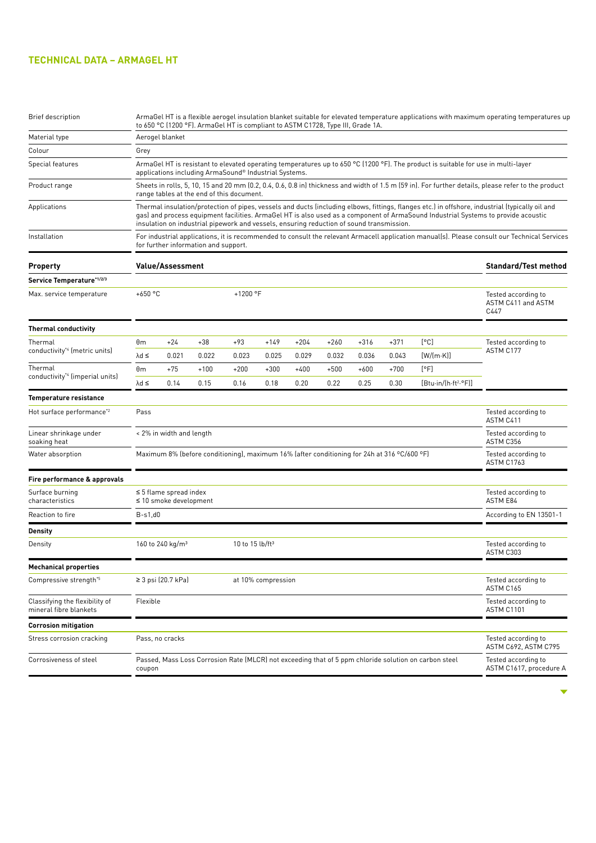### **TECHNICAL DATA – ARMAGEL HT**

| <b>Brief description</b>                                 | ArmaGel HT is a flexible aerogel insulation blanket suitable for elevated temperature applications with maximum operating temperatures up<br>to 650 °C (1200 °F). ArmaGel HT is compliant to ASTM C1728, Type III, Grade 1A. |                                                                                                                                                                                                                                                                                                                                                                                  |        |                             |        |        |        |        |                                                   |                                                |                                  |
|----------------------------------------------------------|------------------------------------------------------------------------------------------------------------------------------------------------------------------------------------------------------------------------------|----------------------------------------------------------------------------------------------------------------------------------------------------------------------------------------------------------------------------------------------------------------------------------------------------------------------------------------------------------------------------------|--------|-----------------------------|--------|--------|--------|--------|---------------------------------------------------|------------------------------------------------|----------------------------------|
| Material type                                            | Aerogel blanket                                                                                                                                                                                                              |                                                                                                                                                                                                                                                                                                                                                                                  |        |                             |        |        |        |        |                                                   |                                                |                                  |
| Colour                                                   | Grey                                                                                                                                                                                                                         |                                                                                                                                                                                                                                                                                                                                                                                  |        |                             |        |        |        |        |                                                   |                                                |                                  |
| Special features                                         |                                                                                                                                                                                                                              | ArmaGel HT is resistant to elevated operating temperatures up to 650 °C (1200 °F). The product is suitable for use in multi-layer<br>applications including ArmaSound® Industrial Systems.                                                                                                                                                                                       |        |                             |        |        |        |        |                                                   |                                                |                                  |
| Product range                                            |                                                                                                                                                                                                                              | Sheets in rolls, 5, 10, 15 and 20 mm (0.2, 0.4, 0.6, 0.8 in) thickness and width of 1.5 m (59 in). For further details, please refer to the product<br>range tables at the end of this document.                                                                                                                                                                                 |        |                             |        |        |        |        |                                                   |                                                |                                  |
| Applications                                             |                                                                                                                                                                                                                              | Thermal insulation/protection of pipes, vessels and ducts (including elbows, fittings, flanges etc.) in offshore, industrial (typically oil and<br>gas) and process equipment facilities. ArmaGel HT is also used as a component of ArmaSound Industrial Systems to provide acoustic<br>insulation on industrial pipework and vessels, ensuring reduction of sound transmission. |        |                             |        |        |        |        |                                                   |                                                |                                  |
| Installation                                             |                                                                                                                                                                                                                              | For industrial applications, it is recommended to consult the relevant Armacell application manual(s). Please consult our Technical Services<br>for further information and support.                                                                                                                                                                                             |        |                             |        |        |        |        |                                                   |                                                |                                  |
| <b>Property</b>                                          | <b>Value/Assessment</b>                                                                                                                                                                                                      |                                                                                                                                                                                                                                                                                                                                                                                  |        |                             |        |        |        |        | <b>Standard/Test method</b>                       |                                                |                                  |
| Service Temperature*1/2/3                                |                                                                                                                                                                                                                              |                                                                                                                                                                                                                                                                                                                                                                                  |        |                             |        |        |        |        |                                                   |                                                |                                  |
| Max. service temperature                                 |                                                                                                                                                                                                                              | +650 $°C$<br>+1200 $^{\circ}$ F                                                                                                                                                                                                                                                                                                                                                  |        |                             |        |        |        |        | Tested according to<br>ASTM C411 and ASTM<br>C447 |                                                |                                  |
| <b>Thermal conductivity</b>                              |                                                                                                                                                                                                                              |                                                                                                                                                                                                                                                                                                                                                                                  |        |                             |        |        |        |        |                                                   |                                                |                                  |
| Thermal                                                  | θm                                                                                                                                                                                                                           | $+24$                                                                                                                                                                                                                                                                                                                                                                            | $+38$  | $+93$                       | $+149$ | $+204$ | $+260$ | $+316$ | $+371$                                            | [°C]                                           | Tested according to              |
| conductivity <sup>*4</sup> (metric units)                | $\lambda$ d $\leq$                                                                                                                                                                                                           | 0.021                                                                                                                                                                                                                                                                                                                                                                            | 0.022  | 0.023                       | 0.025  | 0.029  | 0.032  | 0.036  | 0.043                                             | $[W/(m \cdot K)]$                              | ASTM C177                        |
| Thermal<br>conductivity <sup>*4</sup> (imperial units)   | $\theta$ m                                                                                                                                                                                                                   | $+75$                                                                                                                                                                                                                                                                                                                                                                            | $+100$ | $+200$                      | $+300$ | $+400$ | $+500$ | $+600$ | $+700$                                            | [°F]                                           |                                  |
|                                                          | $\lambda$ d $\leq$                                                                                                                                                                                                           | 0.14                                                                                                                                                                                                                                                                                                                                                                             | 0.15   | 0.16                        | 0.18   | 0.20   | 0.22   | 0.25   | 0.30                                              | [Btu-in/(h-ft <sup>2</sup> .°F)]               |                                  |
| Temperature resistance                                   |                                                                                                                                                                                                                              |                                                                                                                                                                                                                                                                                                                                                                                  |        |                             |        |        |        |        |                                                   |                                                |                                  |
| Hot surface performance* <sup>2</sup>                    | Pass                                                                                                                                                                                                                         |                                                                                                                                                                                                                                                                                                                                                                                  |        |                             |        |        |        |        |                                                   |                                                | Tested according to<br>ASTM C411 |
| Linear shrinkage under<br>soaking heat                   |                                                                                                                                                                                                                              | < 2% in width and length                                                                                                                                                                                                                                                                                                                                                         |        |                             |        |        |        |        | Tested according to<br>ASTM C356                  |                                                |                                  |
| Water absorption                                         |                                                                                                                                                                                                                              | Maximum 8% (before conditioning), maximum 16% (after conditioning for 24h at 316 °C/600 °F)                                                                                                                                                                                                                                                                                      |        |                             |        |        |        |        |                                                   | Tested according to<br><b>ASTM C1763</b>       |                                  |
| Fire performance & approvals                             |                                                                                                                                                                                                                              |                                                                                                                                                                                                                                                                                                                                                                                  |        |                             |        |        |        |        |                                                   |                                                |                                  |
| Surface burning<br>characteristics                       |                                                                                                                                                                                                                              | $\leq$ 5 flame spread index<br>$\leq$ 10 smoke development                                                                                                                                                                                                                                                                                                                       |        |                             |        |        |        |        | Tested according to<br>ASTM E84                   |                                                |                                  |
| Reaction to fire                                         | $B-s1,d0$                                                                                                                                                                                                                    |                                                                                                                                                                                                                                                                                                                                                                                  |        |                             |        |        |        |        |                                                   |                                                | According to EN 13501-1          |
| Density                                                  |                                                                                                                                                                                                                              |                                                                                                                                                                                                                                                                                                                                                                                  |        |                             |        |        |        |        |                                                   |                                                |                                  |
| Density                                                  |                                                                                                                                                                                                                              | 160 to 240 kg/m <sup>3</sup>                                                                                                                                                                                                                                                                                                                                                     |        | 10 to 15 lb/ft <sup>3</sup> |        |        |        |        |                                                   |                                                | Tested according to<br>ASTM C303 |
| <b>Mechanical properties</b>                             |                                                                                                                                                                                                                              |                                                                                                                                                                                                                                                                                                                                                                                  |        |                             |        |        |        |        |                                                   |                                                |                                  |
| Compressive strength <sup>*5</sup>                       |                                                                                                                                                                                                                              | ≥ 3 psi (20.7 kPa)<br>at 10% compression                                                                                                                                                                                                                                                                                                                                         |        |                             |        |        |        |        |                                                   | Tested according to<br>ASTM C165               |                                  |
| Classifying the flexibility of<br>mineral fibre blankets | Flexible                                                                                                                                                                                                                     |                                                                                                                                                                                                                                                                                                                                                                                  |        |                             |        |        |        |        | Tested according to<br><b>ASTM C1101</b>          |                                                |                                  |
| <b>Corrosion mitigation</b>                              |                                                                                                                                                                                                                              |                                                                                                                                                                                                                                                                                                                                                                                  |        |                             |        |        |        |        |                                                   |                                                |                                  |
| Stress corrosion cracking                                | Pass, no cracks                                                                                                                                                                                                              |                                                                                                                                                                                                                                                                                                                                                                                  |        |                             |        |        |        |        | Tested according to<br>ASTM C692, ASTM C795       |                                                |                                  |
| Corrosiveness of steel                                   |                                                                                                                                                                                                                              | Passed, Mass Loss Corrosion Rate (MLCR) not exceeding that of 5 ppm chloride solution on carbon steel<br>coupon                                                                                                                                                                                                                                                                  |        |                             |        |        |        |        |                                                   | Tested according to<br>ASTM C1617, procedure A |                                  |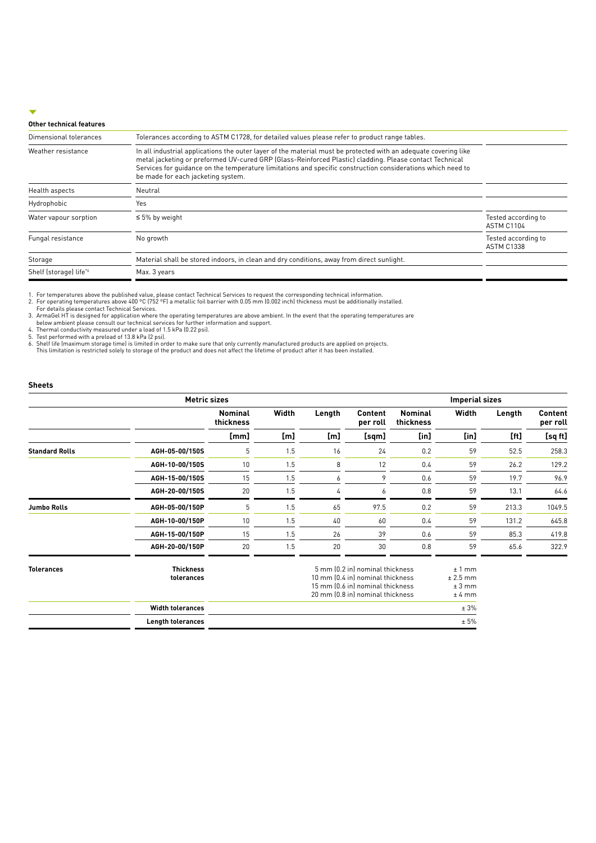#### **Other technical features**

| Dimensional tolerances | Tolerances according to ASTM C1728, for detailed values please refer to product range tables.                                                                                                                                                                                                                                                                                   |                                          |  |  |  |
|------------------------|---------------------------------------------------------------------------------------------------------------------------------------------------------------------------------------------------------------------------------------------------------------------------------------------------------------------------------------------------------------------------------|------------------------------------------|--|--|--|
| Weather resistance     | In all industrial applications the outer layer of the material must be protected with an adequate covering like<br>metal jacketing or preformed UV-cured GRP (Glass-Reinforced Plastic) cladding. Please contact Technical<br>Services for quidance on the temperature limitations and specific construction considerations which need to<br>be made for each jacketing system. |                                          |  |  |  |
| Health aspects         | Neutral                                                                                                                                                                                                                                                                                                                                                                         |                                          |  |  |  |
| Hydrophobic            | Yes                                                                                                                                                                                                                                                                                                                                                                             |                                          |  |  |  |
| Water vapour sorption  | $\leq 5\%$ by weight                                                                                                                                                                                                                                                                                                                                                            | Tested according to<br><b>ASTM C1104</b> |  |  |  |
| Fungal resistance      | No growth                                                                                                                                                                                                                                                                                                                                                                       | Tested according to<br><b>ASTM C1338</b> |  |  |  |
| Storage                | Material shall be stored indoors, in clean and dry conditions, away from direct sunlight.                                                                                                                                                                                                                                                                                       |                                          |  |  |  |
| Shelf (storage) life*6 | Max. 3 years                                                                                                                                                                                                                                                                                                                                                                    |                                          |  |  |  |
|                        |                                                                                                                                                                                                                                                                                                                                                                                 |                                          |  |  |  |

1. For temperatures above the published value, please contact Technical Services to request the corresponding technical information.<br>2. For operating temperatures above 400 °C (752 °F) a metallic foil barrier with 0.05 mm

#### **Sheets**

|                       |                                | <b>Metric sizes</b>         |       |        |                                                                                                                                             |                             | <b>Imperial sizes</b>                     |        |                            |
|-----------------------|--------------------------------|-----------------------------|-------|--------|---------------------------------------------------------------------------------------------------------------------------------------------|-----------------------------|-------------------------------------------|--------|----------------------------|
|                       |                                | <b>Nominal</b><br>thickness | Width | Length | Content<br>per roll                                                                                                                         | <b>Nominal</b><br>thickness | Width                                     | Length | <b>Content</b><br>per roll |
|                       |                                | [mm]                        | [m]   | [m]    | [sqm]                                                                                                                                       | $[$ in]                     | [in]                                      | [ft]   | [sq ft]                    |
| <b>Standard Rolls</b> | AGH-05-00/150S                 | 5                           | 1.5   | 16     | 24                                                                                                                                          | 0.2                         | 59                                        | 52.5   | 258.3                      |
|                       | AGH-10-00/150S                 | 10                          | 1.5   | 8      | 12                                                                                                                                          | 0.4                         | 59                                        | 26.2   | 129.2                      |
|                       | AGH-15-00/150S                 | 15                          | 1.5   | 6      | 9                                                                                                                                           | 0.6                         | 59                                        | 19.7   | 96.9                       |
|                       | AGH-20-00/150S                 | 20                          | 1.5   | 4      | 6                                                                                                                                           | 0.8                         | 59                                        | 13.1   | 64.6                       |
| Jumbo Rolls           | AGH-05-00/150P                 | 5                           | 1.5   | 65     | 97.5                                                                                                                                        | 0.2                         | 59                                        | 213.3  | 1049.5                     |
|                       | AGH-10-00/150P                 | 10                          | 1.5   | 40     | 60                                                                                                                                          | 0.4                         | 59                                        | 131.2  | 645.8                      |
|                       | AGH-15-00/150P                 | 15                          | 1.5   | 26     | 39                                                                                                                                          | 0.6                         | 59                                        | 85.3   | 419.8                      |
|                       | AGH-20-00/150P                 | 20                          | 1.5   | 20     | 30                                                                                                                                          | 0.8                         | 59                                        | 65.6   | 322.9                      |
| <b>Tolerances</b>     | <b>Thickness</b><br>tolerances |                             |       |        | 5 mm (0.2 in) nominal thickness<br>10 mm (0.4 in) nominal thickness<br>15 mm (0.6 in) nominal thickness<br>20 mm (0.8 in) nominal thickness |                             | $±1$ mm<br>$± 2.5$ mm<br>± 3 mm<br>± 4 mm |        |                            |
|                       | <b>Width tolerances</b>        |                             |       |        |                                                                                                                                             |                             | ± 3%                                      |        |                            |
|                       | <b>Lenath tolerances</b>       |                             |       |        |                                                                                                                                             |                             | ± 5%                                      |        |                            |